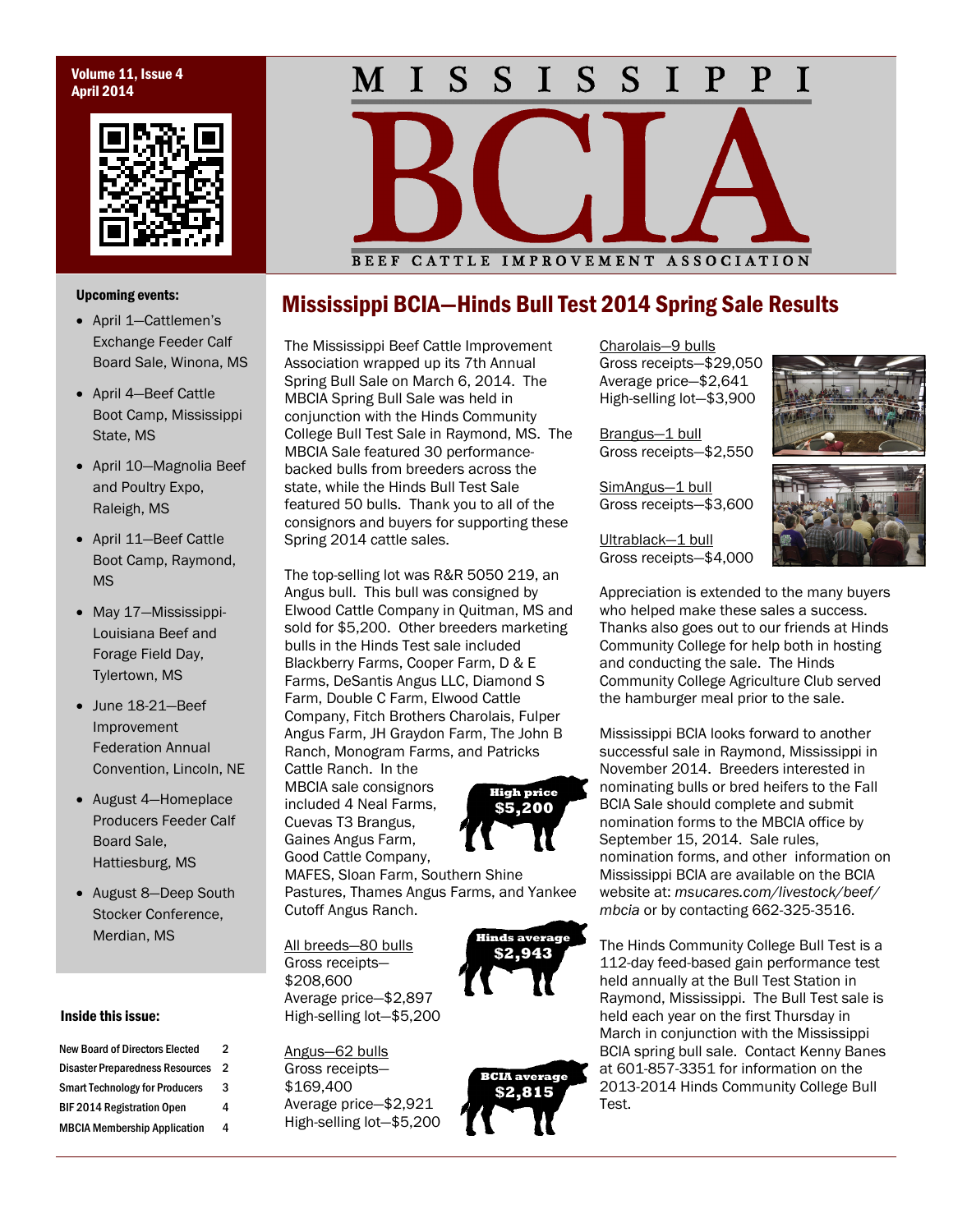## Volume 11, Issue 4 April 2014



### S S I  $S_{-}$  $S \quad I$  $\mathbf{I}$  $P$   $P$ T  $\mathbf M^-$

Upcoming events:

- April 1—Cattlemen's Exchange Feeder Calf Board Sale, Winona, MS
- April 4—Beef Cattle Boot Camp, Mississippi State, MS
- April 10—Magnolia Beef and Poultry Expo, Raleigh, MS
- April 11—Beef Cattle Boot Camp, Raymond, MS
- May 17-Mississippi-Louisiana Beef and Forage Field Day, Tylertown, MS
- June 18-21—Beef Improvement Federation Annual Convention, Lincoln, NE
- August 4-Homeplace Producers Feeder Calf Board Sale, Hattiesburg, MS
- August 8-Deep South Stocker Conference, Merdian, MS

### Inside this issue:

| <b>New Board of Directors Elected</b>  | 2 |
|----------------------------------------|---|
| <b>Disaster Preparedness Resources</b> | 2 |
| <b>Smart Technology for Producers</b>  | 3 |
| <b>BIF 2014 Registration Open</b>      | 4 |
| <b>MBCIA Membership Application</b>    | 4 |

# BEEF CATTLE IMPROVEMENT ASSOCIATION

# Mississippi BCIA—Hinds Bull Test 2014 Spring Sale Results

The Mississippi Beef Cattle Improvement Association wrapped up its 7th Annual Spring Bull Sale on March 6, 2014. The MBCIA Spring Bull Sale was held in conjunction with the Hinds Community College Bull Test Sale in Raymond, MS. The MBCIA Sale featured 30 performancebacked bulls from breeders across the state, while the Hinds Bull Test Sale featured 50 bulls. Thank you to all of the consignors and buyers for supporting these Spring 2014 cattle sales.

The top-selling lot was R&R 5050 219, an Angus bull. This bull was consigned by Elwood Cattle Company in Quitman, MS and sold for \$5,200. Other breeders marketing bulls in the Hinds Test sale included Blackberry Farms, Cooper Farm, D & E Farms, DeSantis Angus LLC, Diamond S Farm, Double C Farm, Elwood Cattle Company, Fitch Brothers Charolais, Fulper Angus Farm, JH Graydon Farm, The John B Ranch, Monogram Farms, and Patricks

Cattle Ranch. In the MBCIA sale consignors included 4 Neal Farms, Cuevas T3 Brangus, Gaines Angus Farm, Good Cattle Company,



MAFES, Sloan Farm, Southern Shine Pastures, Thames Angus Farms, and Yankee Cutoff Angus Ranch.

All breeds—80 bulls Gross receipts— \$208,600 Average price—\$2,897 High-selling lot—\$5,200

Angus—62 bulls Gross receipts— \$169,400 Average price—\$2,921 High-selling lot—\$5,200



Charolais—9 bulls Gross receipts—\$29,050 Average price—\$2,641 High-selling lot—\$3,900

Brangus—1 bull Gross receipts—\$2,550

SimAngus-1 bull Gross receipts—\$3,600

Ultrablack-1 bull Gross receipts—\$4,000





Appreciation is extended to the many buyers who helped make these sales a success. Thanks also goes out to our friends at Hinds Community College for help both in hosting and conducting the sale. The Hinds Community College Agriculture Club served the hamburger meal prior to the sale.

Mississippi BCIA looks forward to another successful sale in Raymond, Mississippi in November 2014. Breeders interested in nominating bulls or bred heifers to the Fall BCIA Sale should complete and submit nomination forms to the MBCIA office by September 15, 2014. Sale rules, nomination forms, and other information on Mississippi BCIA are available on the BCIA website at: *msucares.com/livestock/beef/ mbcia* or by contacting 662-325-3516.

The Hinds Community College Bull Test is a 112-day feed-based gain performance test held annually at the Bull Test Station in Raymond, Mississippi. The Bull Test sale is held each year on the first Thursday in March in conjunction with the Mississippi BCIA spring bull sale. Contact Kenny Banes at 601-857-3351 for information on the 2013-2014 Hinds Community College Bull Test.

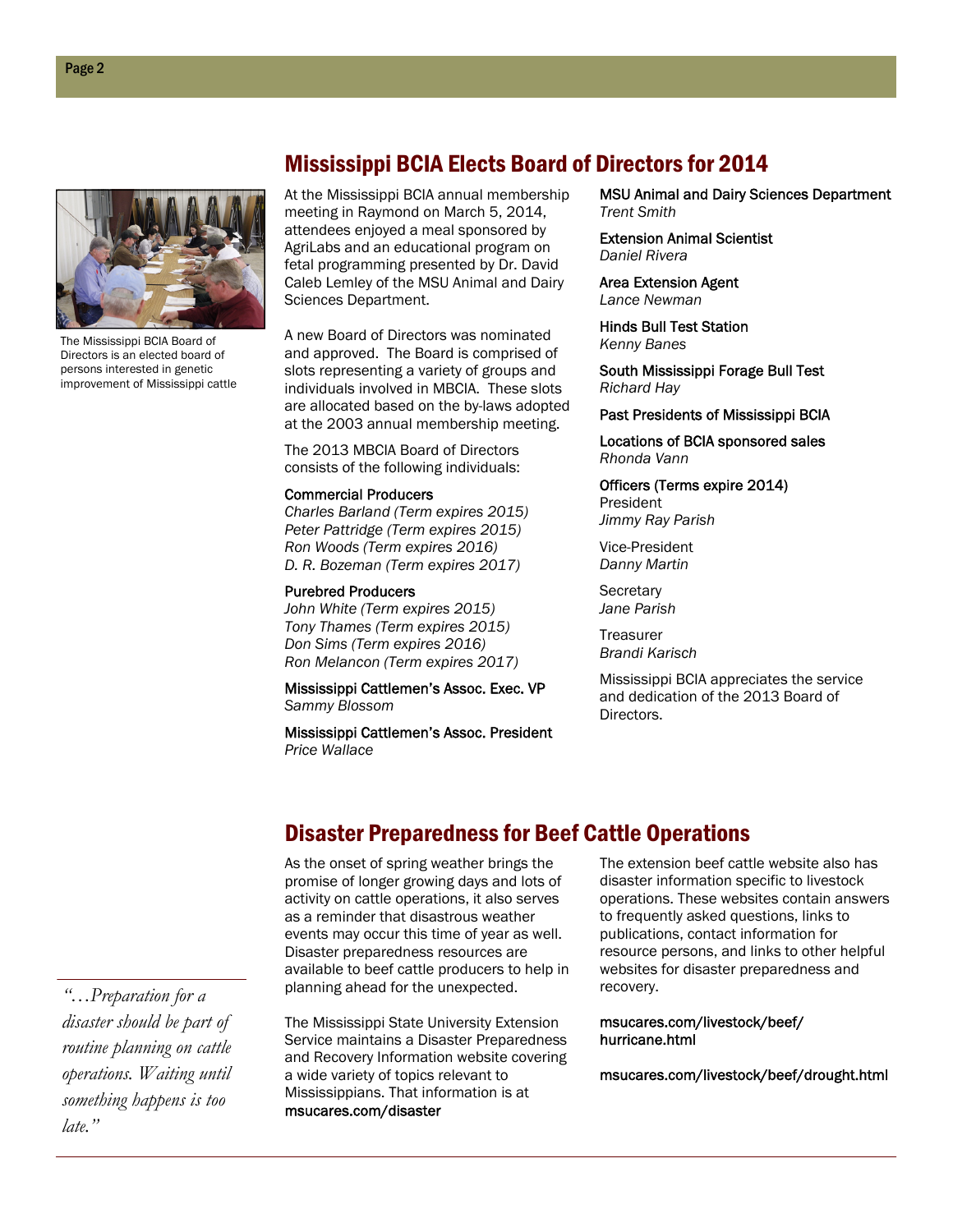# Mississippi BCIA Elects Board of Directors for 2014



The Mississippi BCIA Board of Directors is an elected board of persons interested in genetic improvement of Mississippi cattle

At the Mississippi BCIA annual membership meeting in Raymond on March 5, 2014, attendees enjoyed a meal sponsored by AgriLabs and an educational program on fetal programming presented by Dr. David Caleb Lemley of the MSU Animal and Dairy Sciences Department.

A new Board of Directors was nominated and approved. The Board is comprised of slots representing a variety of groups and individuals involved in MBCIA. These slots are allocated based on the by-laws adopted at the 2003 annual membership meeting.

The 2013 MBCIA Board of Directors consists of the following individuals:

### Commercial Producers

*Charles Barland (Term expires 2015) Peter Pattridge (Term expires 2015) Ron Woods (Term expires 2016) D. R. Bozeman (Term expires 2017)* 

### Purebred Producers

*John White (Term expires 2015) Tony Thames (Term expires 2015) Don Sims (Term expires 2016) Ron Melancon (Term expires 2017)* 

Mississippi Cattlemen's Assoc. Exec. VP *Sammy Blossom* 

Mississippi Cattlemen's Assoc. President *Price Wallace* 

MSU Animal and Dairy Sciences Department *Trent Smith* 

Extension Animal Scientist *Daniel Rivera* 

Area Extension Agent *Lance Newman* 

Hinds Bull Test Station *Kenny Banes* 

South Mississippi Forage Bull Test *Richard Hay* 

### Past Presidents of Mississippi BCIA

Locations of BCIA sponsored sales *Rhonda Vann* 

Officers (Terms expire 2014) President

*Jimmy Ray Parish* 

Vice-President *Danny Martin* 

**Secretary** *Jane Parish* 

**Treasurer** *Brandi Karisch* 

Mississippi BCIA appreciates the service and dedication of the 2013 Board of Directors.

# Disaster Preparedness for Beef Cattle Operations

As the onset of spring weather brings the promise of longer growing days and lots of activity on cattle operations, it also serves as a reminder that disastrous weather events may occur this time of year as well. Disaster preparedness resources are available to beef cattle producers to help in planning ahead for the unexpected.

The Mississippi State University Extension Service maintains a Disaster Preparedness and Recovery Information website covering a wide variety of topics relevant to Mississippians. That information is at msucares.com/disaster

The extension beef cattle website also has disaster information specific to livestock operations. These websites contain answers to frequently asked questions, links to publications, contact information for resource persons, and links to other helpful websites for disaster preparedness and recovery.

msucares.com/livestock/beef/ hurricane.html

msucares.com/livestock/beef/drought.html

*"…Preparation for a disaster should be part of routine planning on cattle operations. Waiting until something happens is too late."*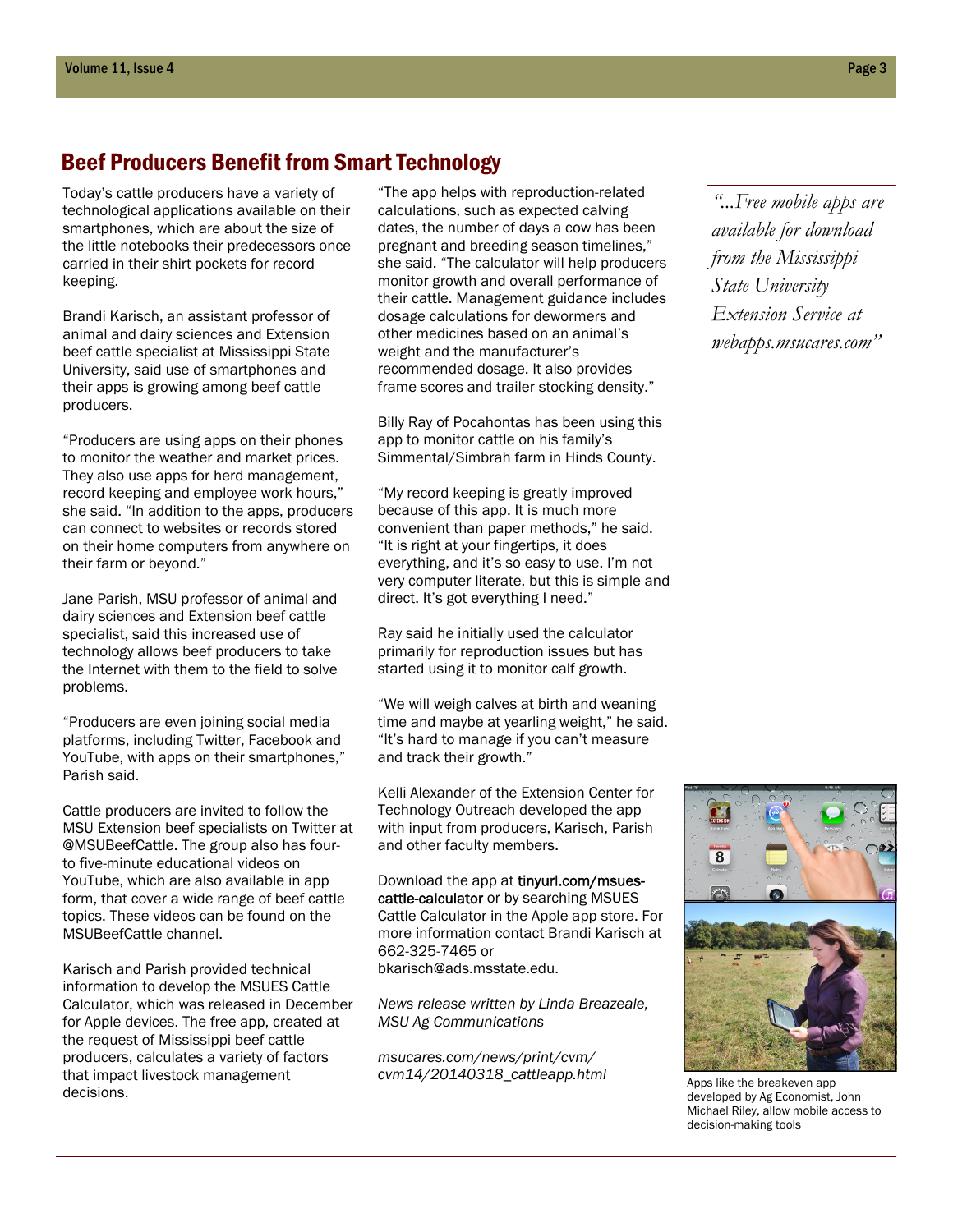# Beef Producers Benefit from Smart Technology

Today's cattle producers have a variety of technological applications available on their smartphones, which are about the size of the little notebooks their predecessors once carried in their shirt pockets for record keeping.

Brandi Karisch, an assistant professor of animal and dairy sciences and Extension beef cattle specialist at Mississippi State University, said use of smartphones and their apps is growing among beef cattle producers.

"Producers are using apps on their phones to monitor the weather and market prices. They also use apps for herd management, record keeping and employee work hours," she said. "In addition to the apps, producers can connect to websites or records stored on their home computers from anywhere on their farm or beyond."

Jane Parish, MSU professor of animal and dairy sciences and Extension beef cattle specialist, said this increased use of technology allows beef producers to take the Internet with them to the field to solve problems.

"Producers are even joining social media platforms, including Twitter, Facebook and YouTube, with apps on their smartphones," Parish said.

Cattle producers are invited to follow the MSU Extension beef specialists on Twitter at @MSUBeefCattle. The group also has fourto five-minute educational videos on YouTube, which are also available in app form, that cover a wide range of beef cattle topics. These videos can be found on the MSUBeefCattle channel.

Karisch and Parish provided technical information to develop the MSUES Cattle Calculator, which was released in December for Apple devices. The free app, created at the request of Mississippi beef cattle producers, calculates a variety of factors that impact livestock management decisions.

"The app helps with reproduction-related calculations, such as expected calving dates, the number of days a cow has been pregnant and breeding season timelines," she said. "The calculator will help producers monitor growth and overall performance of their cattle. Management guidance includes dosage calculations for dewormers and other medicines based on an animal's weight and the manufacturer's recommended dosage. It also provides frame scores and trailer stocking density."

Billy Ray of Pocahontas has been using this app to monitor cattle on his family's Simmental/Simbrah farm in Hinds County.

"My record keeping is greatly improved because of this app. It is much more convenient than paper methods," he said. "It is right at your fingertips, it does everything, and it's so easy to use. I'm not very computer literate, but this is simple and direct. It's got everything I need."

Ray said he initially used the calculator primarily for reproduction issues but has started using it to monitor calf growth.

"We will weigh calves at birth and weaning time and maybe at yearling weight," he said. "It's hard to manage if you can't measure and track their growth."

Kelli Alexander of the Extension Center for Technology Outreach developed the app with input from producers, Karisch, Parish and other faculty members.

Download the app at tinyurl.com/msuescattle-calculator or by searching MSUES Cattle Calculator in the Apple app store. For more information contact Brandi Karisch at 662-325-7465 or bkarisch@ads.msstate.edu.

*News release written by Linda Breazeale, MSU Ag Communications* 

*msucares.com/news/print/cvm/ cvm14/20140318\_cattleapp.html* 

*"...Free mobile apps are available for download from the Mississippi State University Extension Service at webapps.msucares.com"* 



Apps like the breakeven app developed by Ag Economist, John Michael Riley, allow mobile access to decision-making tools